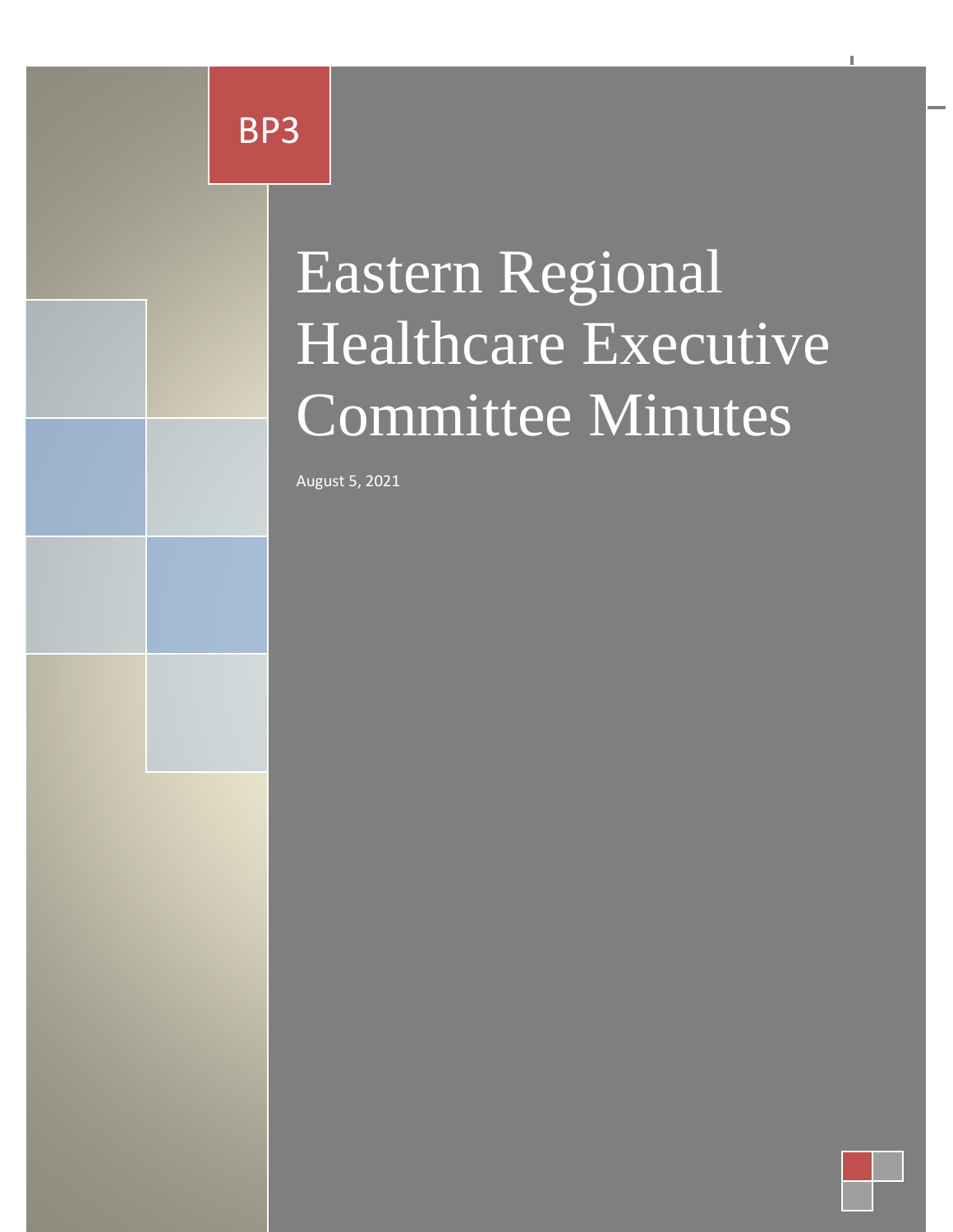Eastern Regional Healthcare BP3

Minuts

# Executive Committee Committee Committee Committee Committee Committee Committee Committee Committee Committee Minutes Eastern Regional Healthcare Executive Committee Minutes

Eastern Regional Healthcare Executive Committee Minutes BP3

August 5, 2021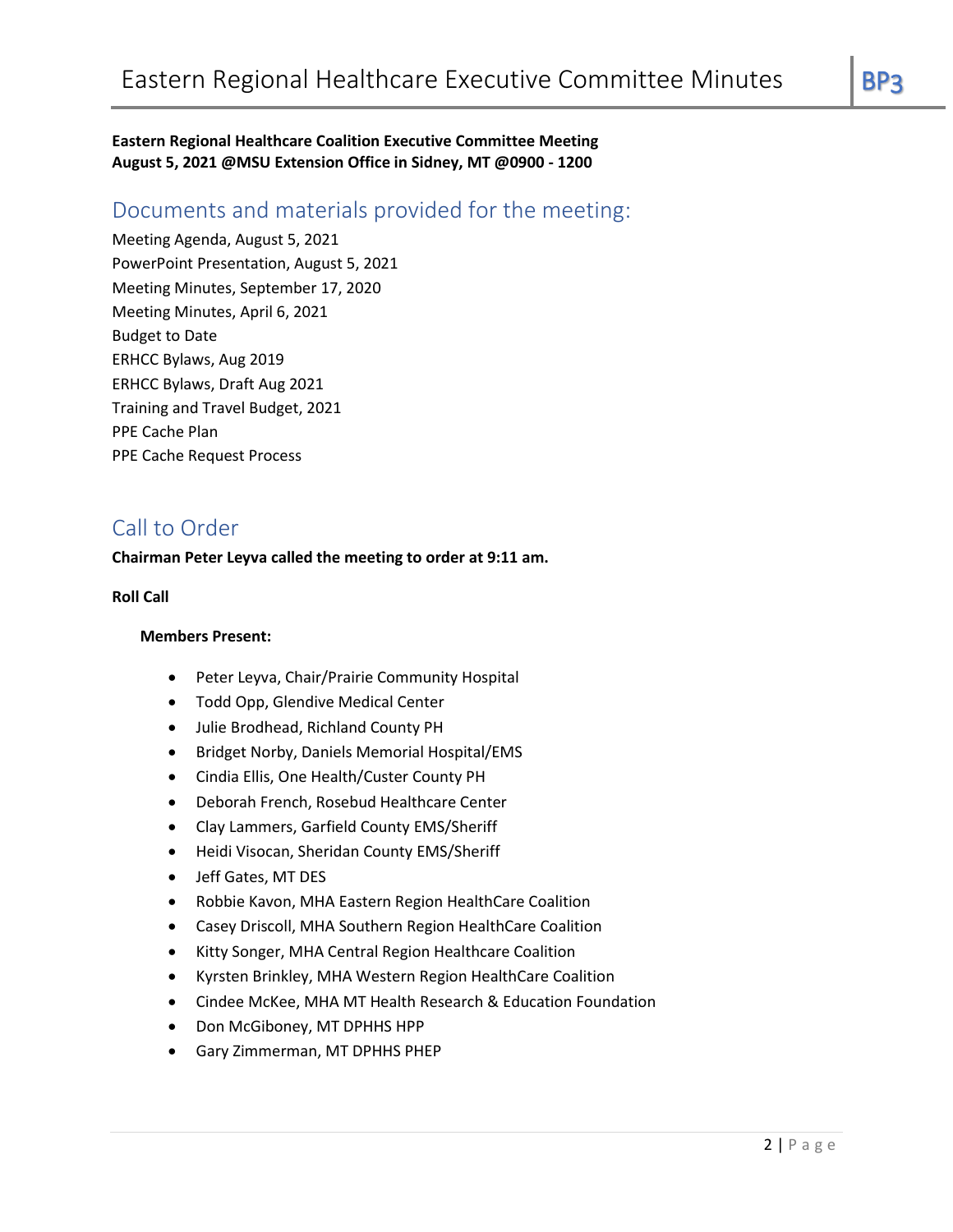**Eastern Regional Healthcare Coalition Executive Committee Meeting August 5, 2021 @MSU Extension Office in Sidney, MT @0900 - 1200**

# Documents and materials provided for the meeting:

Meeting Agenda, August 5, 2021 PowerPoint Presentation, August 5, 2021 Meeting Minutes, September 17, 2020 Meeting Minutes, April 6, 2021 Budget to Date ERHCC Bylaws, Aug 2019 ERHCC Bylaws, Draft Aug 2021 Training and Travel Budget, 2021 PPE Cache Plan PPE Cache Request Process

# Call to Order

#### **Chairman Peter Leyva called the meeting to order at 9:11 am.**

#### **Roll Call**

#### **Members Present:**

- Peter Leyva, Chair/Prairie Community Hospital
- Todd Opp, Glendive Medical Center
- Julie Brodhead, Richland County PH
- Bridget Norby, Daniels Memorial Hospital/EMS
- Cindia Ellis, One Health/Custer County PH
- Deborah French, Rosebud Healthcare Center
- Clay Lammers, Garfield County EMS/Sheriff
- Heidi Visocan, Sheridan County EMS/Sheriff
- Jeff Gates, MT DES
- Robbie Kavon, MHA Eastern Region HealthCare Coalition
- Casey Driscoll, MHA Southern Region HealthCare Coalition
- Kitty Songer, MHA Central Region Healthcare Coalition
- Kyrsten Brinkley, MHA Western Region HealthCare Coalition
- Cindee McKee, MHA MT Health Research & Education Foundation
- Don McGiboney, MT DPHHS HPP
- Gary Zimmerman, MT DPHHS PHEP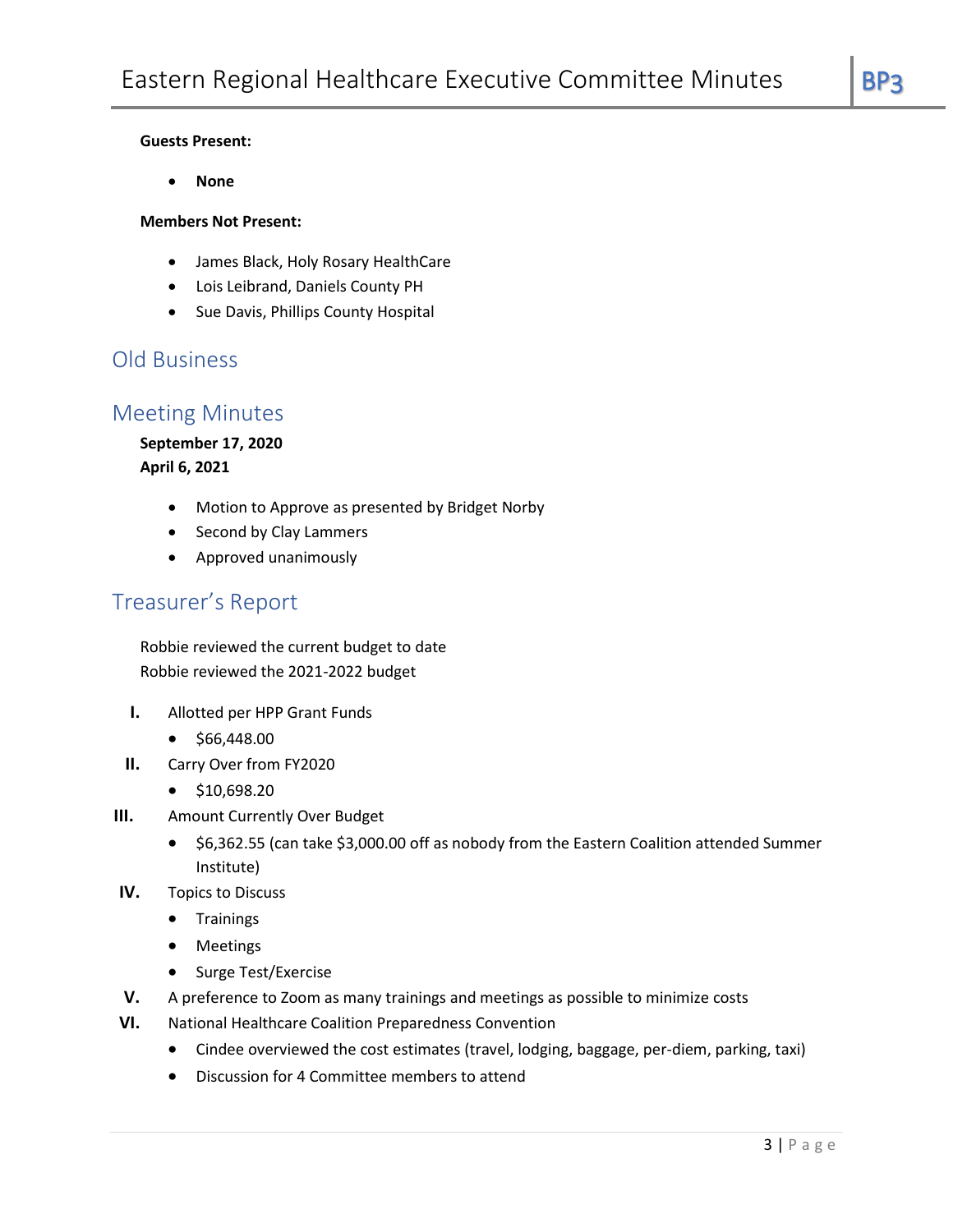#### **Guests Present:**

• **None**

#### **Members Not Present:**

- James Black, Holy Rosary HealthCare
- Lois Leibrand, Daniels County PH
- Sue Davis, Phillips County Hospital

## Old Business

## Meeting Minutes

#### **September 17, 2020**

**April 6, 2021**

- Motion to Approve as presented by Bridget Norby
- Second by Clay Lammers
- Approved unanimously

# Treasurer's Report

Robbie reviewed the current budget to date Robbie reviewed the 2021-2022 budget

- **I.** Allotted per HPP Grant Funds
	- \$66,448.00
- **II.** Carry Over from FY2020
	- \$10,698.20
- **III.** Amount Currently Over Budget
	- \$6,362.55 (can take \$3,000.00 off as nobody from the Eastern Coalition attended Summer Institute)
- **IV.** Topics to Discuss
	- Trainings
	- Meetings
	- Surge Test/Exercise
- **V.** A preference to Zoom as many trainings and meetings as possible to minimize costs
- **VI.** National Healthcare Coalition Preparedness Convention
	- Cindee overviewed the cost estimates (travel, lodging, baggage, per-diem, parking, taxi)
	- Discussion for 4 Committee members to attend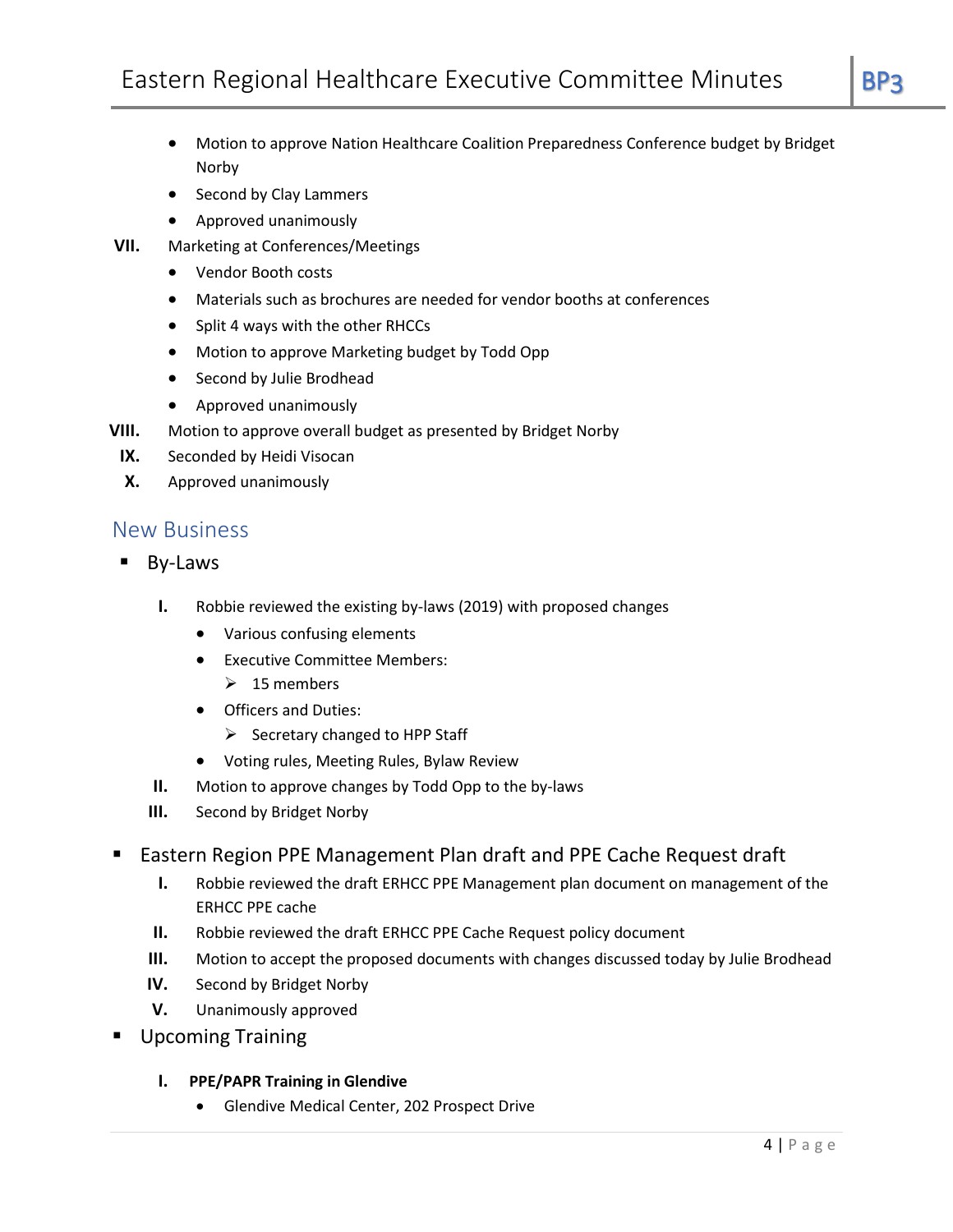- Motion to approve Nation Healthcare Coalition Preparedness Conference budget by Bridget
- Second by Clay Lammers
- Approved unanimously
- **VII.** Marketing at Conferences/Meetings
	- Vendor Booth costs

Norby

- Materials such as brochures are needed for vendor booths at conferences
- Split 4 ways with the other RHCCs
- Motion to approve Marketing budget by Todd Opp
- Second by Julie Brodhead
- Approved unanimously
- **VIII.** Motion to approve overall budget as presented by Bridget Norby
	- **IX.** Seconded by Heidi Visocan
	- **X.** Approved unanimously

## New Business

- By-Laws
	- **I.** Robbie reviewed the existing by-laws (2019) with proposed changes
		- Various confusing elements
		- Executive Committee Members:
			- $\geq 15$  members
		- Officers and Duties:
			- $\triangleright$  Secretary changed to HPP Staff
		- Voting rules, Meeting Rules, Bylaw Review
	- **II.** Motion to approve changes by Todd Opp to the by-laws
	- **III.** Second by Bridget Norby
- Eastern Region PPE Management Plan draft and PPE Cache Request draft
	- **I.** Robbie reviewed the draft ERHCC PPE Management plan document on management of the ERHCC PPE cache
	- **II.** Robbie reviewed the draft ERHCC PPE Cache Request policy document
	- **III.** Motion to accept the proposed documents with changes discussed today by Julie Brodhead
	- **IV.** Second by Bridget Norby
	- **V.** Unanimously approved
- **Upcoming Training** 
	- **I. PPE/PAPR Training in Glendive**
		- Glendive Medical Center, 202 Prospect Drive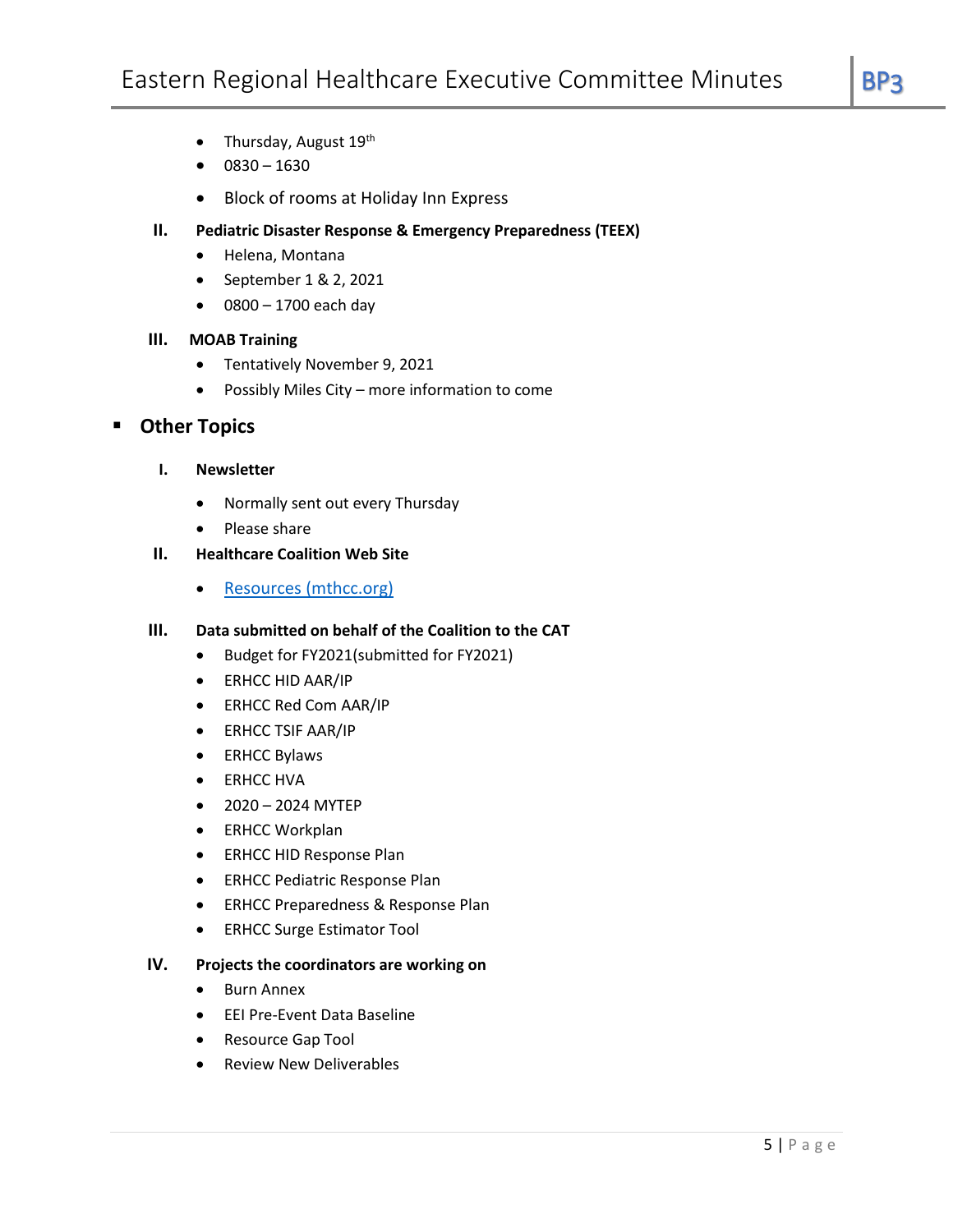- Thursday, August 19th
- $0830 1630$
- Block of rooms at Holiday Inn Express
- **II. Pediatric Disaster Response & Emergency Preparedness (TEEX)**
	- Helena, Montana
	- September 1 & 2, 2021
	- $\bullet$  0800 1700 each day

#### **III. MOAB Training**

- Tentatively November 9, 2021
- Possibly Miles City more information to come

## ▪ **Other Topics**

- **I. Newsletter**
	- Normally sent out every Thursday
	- Please share
- **II. Healthcare Coalition Web Site**
	- [Resources \(mthcc.org\)](https://www.mthcc.org/resources.html)

#### **III. Data submitted on behalf of the Coalition to the CAT**

- Budget for FY2021(submitted for FY2021)
- ERHCC HID AAR/IP
- ERHCC Red Com AAR/IP
- ERHCC TSIF AAR/IP
- ERHCC Bylaws
- ERHCC HVA
- 2020 2024 MYTEP
- ERHCC Workplan
- ERHCC HID Response Plan
- ERHCC Pediatric Response Plan
- ERHCC Preparedness & Response Plan
- ERHCC Surge Estimator Tool

#### **IV. Projects the coordinators are working on**

- Burn Annex
- EEI Pre-Event Data Baseline
- Resource Gap Tool
- Review New Deliverables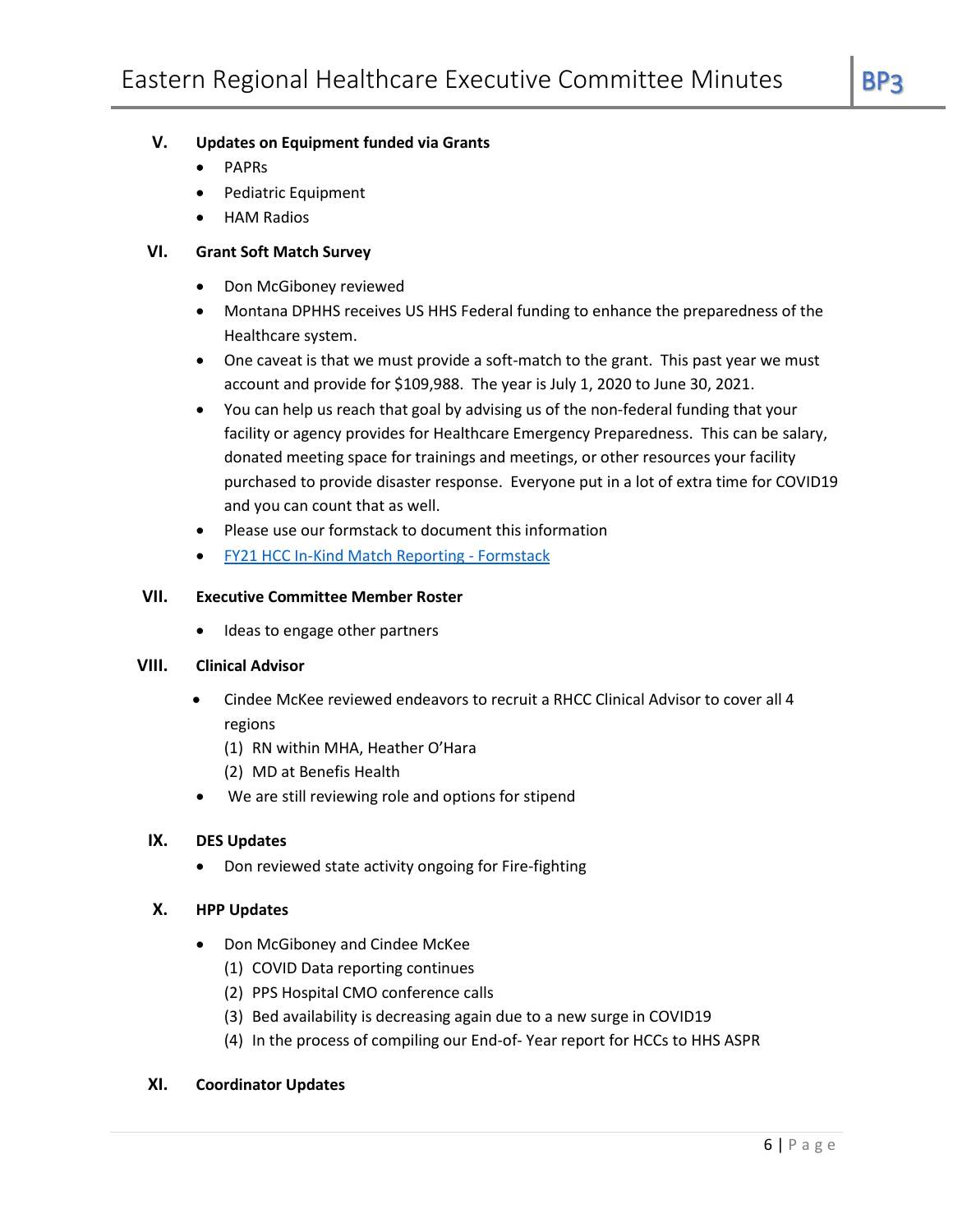## **V. Updates on Equipment funded via Grants**

- PAPRs
- Pediatric Equipment
- HAM Radios

#### **VI. Grant Soft Match Survey**

- Don McGiboney reviewed
- Montana DPHHS receives US HHS Federal funding to enhance the preparedness of the Healthcare system.
- One caveat is that we must provide a soft-match to the grant. This past year we must account and provide for \$109,988. The year is July 1, 2020 to June 30, 2021.
- You can help us reach that goal by advising us of the non-federal funding that your facility or agency provides for Healthcare Emergency Preparedness. This can be salary, donated meeting space for trainings and meetings, or other resources your facility purchased to provide disaster response. Everyone put in a lot of extra time for COVID19 and you can count that as well.
- Please use our formstack to document this information
- [FY21 HCC In-Kind Match Reporting -](https://urldefense.proofpoint.com/v2/url?u=https-3A__phep.formstack.com_forms_hcc-5Fdonation-5Freporting-5Fcopy-5Fcopy-5F1&d=DwMFAg&c=euGZstcaTDllvimEN8b7jXrwqOf-v5A_CdpgnVfiiMM&r=lFvcgVKYcdPQtU2X0zI0rndF-7w-5oUxy11ADLadbQ8&m=3Msbhwx-xdJGzdF7Mo1F4PnJg0_gRq6Soi6nA_CYWJ4&s=M0vuYEl0w2kjo_aCWbA46ujM7-0kxcMhnmjyjfoMAyg&e=) Formstack

#### **VII. Executive Committee Member Roster**

Ideas to engage other partners

#### **VIII. Clinical Advisor**

- Cindee McKee reviewed endeavors to recruit a RHCC Clinical Advisor to cover all 4 regions
	- (1) RN within MHA, Heather O'Hara
	- (2) MD at Benefis Health
- We are still reviewing role and options for stipend

#### **IX. DES Updates**

• Don reviewed state activity ongoing for Fire-fighting

#### **X. HPP Updates**

- Don McGiboney and Cindee McKee
	- (1) COVID Data reporting continues
	- (2) PPS Hospital CMO conference calls
	- (3) Bed availability is decreasing again due to a new surge in COVID19
	- (4) In the process of compiling our End-of- Year report for HCCs to HHS ASPR

#### **XI. Coordinator Updates**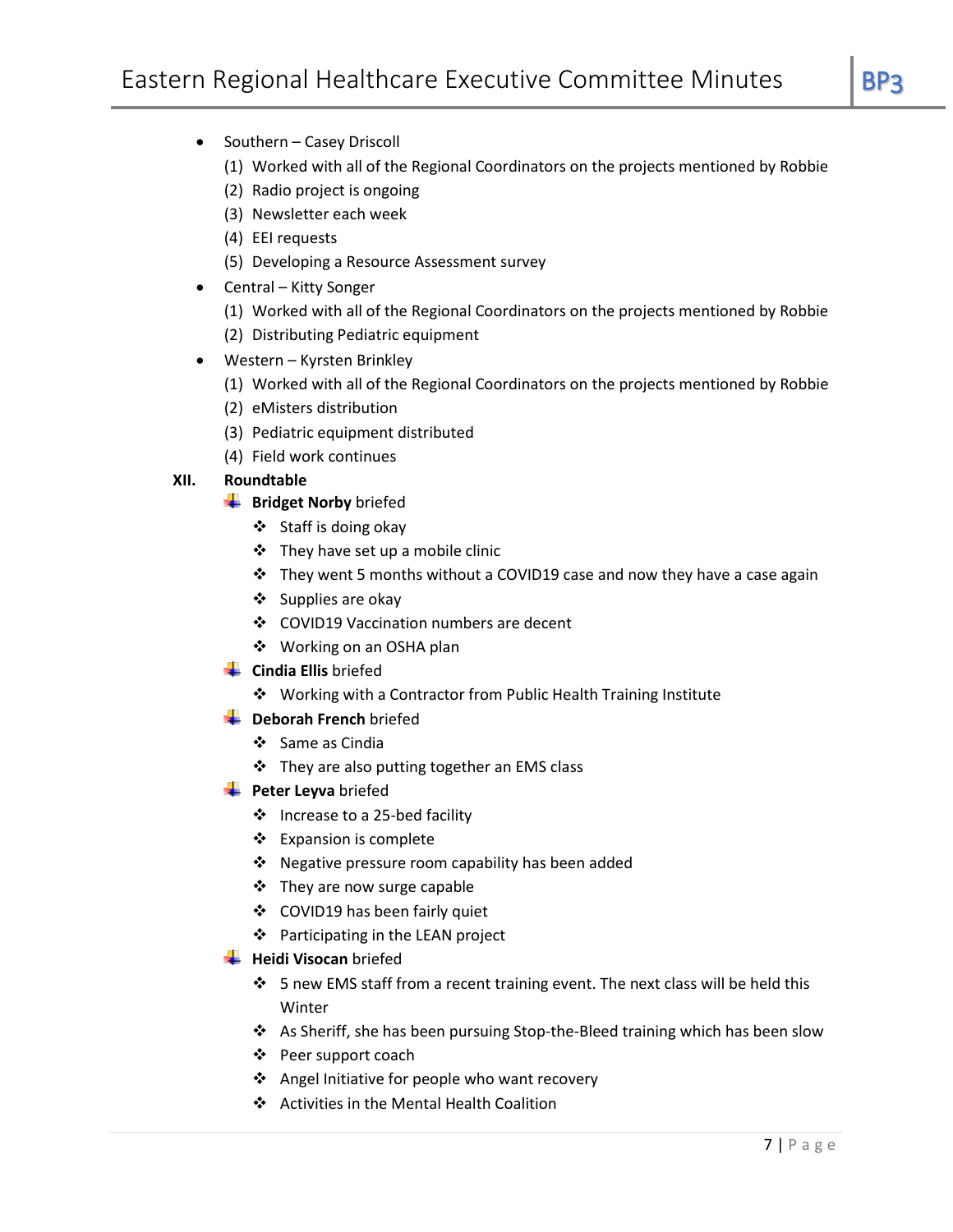- Southern Casey Driscoll
	- (1) Worked with all of the Regional Coordinators on the projects mentioned by Robbie
	- (2) Radio project is ongoing
	- (3) Newsletter each week
	- (4) EEI requests
	- (5) Developing a Resource Assessment survey
- Central Kitty Songer
	- (1) Worked with all of the Regional Coordinators on the projects mentioned by Robbie
	- (2) Distributing Pediatric equipment
- Western Kyrsten Brinkley
	- (1) Worked with all of the Regional Coordinators on the projects mentioned by Robbie
	- (2) eMisters distribution
	- (3) Pediatric equipment distributed
	- (4) Field work continues

#### **XII. Roundtable**

- **Bridget Norby** briefed
	- ❖ Staff is doing okay
	- ❖ They have set up a mobile clinic
	- ❖ They went 5 months without a COVID19 case and now they have a case again
	- ❖ Supplies are okay
	- ❖ COVID19 Vaccination numbers are decent
	- ❖ Working on an OSHA plan
- **Cindia Ellis** briefed
	- ❖ Working with a Contractor from Public Health Training Institute
- **L** Deborah French briefed
	- ❖ Same as Cindia
	- ❖ They are also putting together an EMS class
- **Peter Leyva** briefed
	- ❖ Increase to a 25-bed facility
	- ❖ Expansion is complete
	- ❖ Negative pressure room capability has been added
	- ❖ They are now surge capable
	- ❖ COVID19 has been fairly quiet
	- ❖ Participating in the LEAN project
- **Heidi Visocan** briefed
	- ❖ 5 new EMS staff from a recent training event. The next class will be held this Winter
	- ❖ As Sheriff, she has been pursuing Stop-the-Bleed training which has been slow
	- ❖ Peer support coach
	- ❖ Angel Initiative for people who want recovery
	- ❖ Activities in the Mental Health Coalition